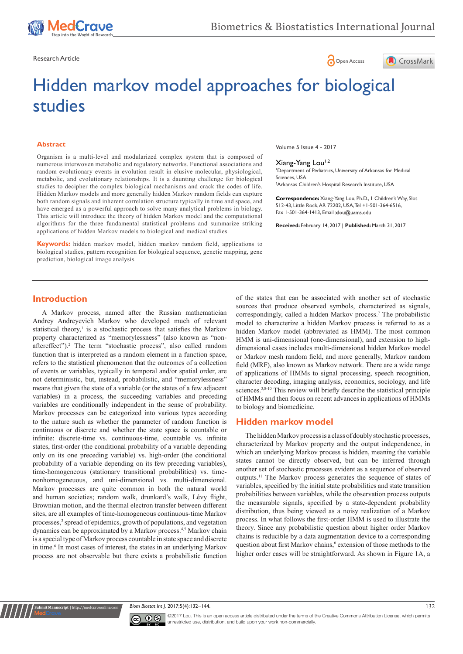

Research Article **Contracts** Contracts and Contracts Contracts Contracts Contracts Contracts Contracts Open Access





# Hidden markov model approaches for biological studies

#### **Abstract**

Organism is a multi-level and modularized complex system that is composed of numerous interwoven metabolic and regulatory networks. Functional associations and random evolutionary events in evolution result in elusive molecular, physiological, metabolic, and evolutionary relationships. It is a daunting challenge for biological studies to decipher the complex biological mechanisms and crack the codes of life. Hidden Markov models and more generally hidden Markov random fields can capture both random signals and inherent correlation structure typically in time and space, and have emerged as a powerful approach to solve many analytical problems in biology. This article will introduce the theory of hidden Markov model and the computational algorithms for the three fundamental statistical problems and summarize striking applications of hidden Markov models to biological and medical studies.

**Keywords:** hidden markov model, hidden markov random field, applications to biological studies, pattern recognition for biological sequence, genetic mapping, gene prediction, biological image analysis.

Volume 5 Issue 4 - 2017

## Xiang-Yang Lou<sup>1,2</sup>

1 Department of Pediatrics, University of Arkansas for Medical Sciences, USA 2 Arkansas Children's Hospital Research Institute, USA

**Correspondence:** Xiang-Yang Lou, Ph.D., 1 Children's Way, Slot 512-43, Little Rock, AR 72202, USA, Tel +1-501-364-6516, Fax 1-501-364-1413, Email

**Received:** February 14, 2017 | **Published:** March 31, 2017

## **Introduction**

A Markov process, named after the Russian mathematician Andrey Andreyevich Markov who developed much of relevant statistical theory, $\frac{1}{1}$  is a stochastic process that satisfies the Markov property characterized as "memorylessness" (also known as "nonaftereffect").<sup>2</sup> The term "stochastic process", also called random function that is interpreted as a random element in a function space, refers to the statistical phenomenon that the outcomes of a collection of events or variables, typically in temporal and/or spatial order, are not deterministic, but, instead, probabilistic, and "memorylessness" means that given the state of a variable (or the states of a few adjacent variables) in a process, the succeeding variables and preceding variables are conditionally independent in the sense of probability. Markov processes can be categorized into various types according to the nature such as whether the parameter of random function is continuous or discrete and whether the state space is countable or infinite: discrete-time vs. continuous-time, countable vs. infinite states, first-order (the conditional probability of a variable depending only on its one preceding variable) vs. high-order (the conditional probability of a variable depending on its few preceding variables), time-homogeneous (stationary transitional probabilities) vs. timenonhomogeneuous, and uni-dimensional vs. multi-dimensional. Markov processes are quite common in both the natural world and human societies; random walk, drunkard's walk, Lévy flight, Brownian motion, and the thermal electron transfer between different sites, are all examples of time-homogeneous continuous-time Markov processes,<sup>3</sup> spread of epidemics, growth of populations, and vegetation dynamics can be approximated by a Markov process.4,5 Markov chain is a special type of Markov process countable in state space and discrete in time.<sup>6</sup> In most cases of interest, the states in an underlying Markov process are not observable but there exists a probabilistic function

of the states that can be associated with another set of stochastic sources that produce observed symbols, characterized as signals, correspondingly, called a hidden Markov process.<sup>7</sup> The probabilistic model to characterize a hidden Markov process is referred to as a hidden Markov model (abbreviated as HMM). The most common HMM is uni-dimensional (one-dimensional), and extension to highdimensional cases includes multi-dimensional hidden Markov model or Markov mesh random field, and more generally, Markov random field (MRF), also known as Markov network. There are a wide range of applications of HMMs to signal processing, speech recognition, character decoding, imaging analysis, economics, sociology, and life sciences.<sup>3,8-10</sup> This review will briefly describe the statistical principle of HMMs and then focus on recent advances in applications of HMMs to biology and biomedicine.

## **Hidden markov model**

The hidden Markov process is a class of doubly stochastic processes, characterized by Markov property and the output independence, in which an underlying Markov process is hidden, meaning the variable states cannot be directly observed, but can be inferred through another set of stochastic processes evident as a sequence of observed outputs.11 The Markov process generates the sequence of states of variables, specified by the initial state probabilities and state transition probabilities between variables, while the observation process outputs the measurable signals, specified by a state-dependent probability distribution, thus being viewed as a noisy realization of a Markov process. In what follows the first-order HMM is used to illustrate the theory. Since any probabilistic question about higher order Markov chains is reducible by a data augmentation device to a corresponding question about first Markov chains,<sup>6</sup> extension of those methods to the higher order cases will be straightforward. As shown in Figure 1A, a





**Submit Manuscript** | http://medcraveonline.com

©2017 Lou. This is an open access article distributed under the terms of the [Creative Commons Attribution License,](https://creativecommons.org/licenses/by-nc/4.0/) which permits unrestricted use, distribution, and build upon your work non-commercially.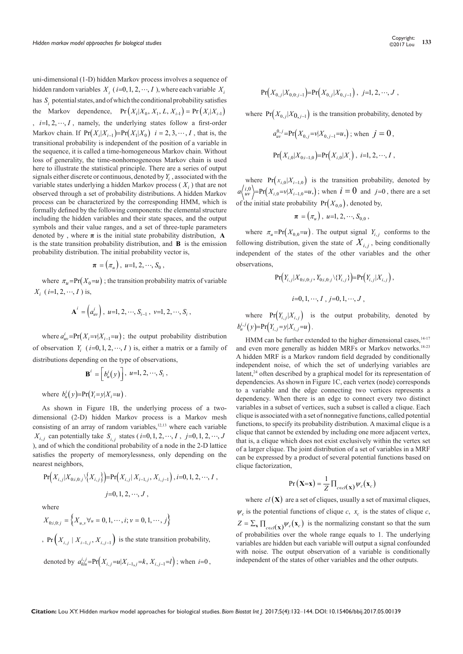uni-dimensional (1-D) hidden Markov process involves a sequence of hidden random variables  $X_i$  ( $i=0,1,2,\dots, I$ ), where each variable  $X_i$ has  $S$  potential states, and of which the conditional probability satisfies the Markov dependence,  $Pr(X_i | X_0, X_1, L, X_{i-1}) = Pr(X_i | X_{i-1})$  $i = 1, 2, \dots, I$ , namely, the underlying states follow a first-order Markov chain. If  $Pr(X_i | X_{i-1}) = Pr(X_i | X_0)$   $i = 2, 3, \dots, I$ , that is, the transitional probability is independent of the position of a variable in the sequence, it is called a time-homogeneous Markov chain. Without loss of generality, the time-nonhomogeneous Markov chain is used here to illustrate the statistical principle. There are a series of output signals either discrete or continuous, denoted by *Yi* , associated with the variable states underlying a hidden Markov process  $(X_i)$  that are not observed through a set of probability distributions. A hidden Markov process can be characterized by the corresponding HMM, which is formally defined by the following components: the elemental structure including the hidden variables and their state spaces, and the output symbols and their value ranges, and a set of three-tuple parameters denoted by, where  $\pi$  is the initial state probability distribution, **A** is the state transition probability distribution, and **B** is the emission probability distribution. The initial probability vector is,

$$
\boldsymbol{\pi}=(\pi_u),\;u{=}1,2,\cdots,S_0\;,
$$

where  $\pi_u = Pr(X_0 = u)$ ; the transition probability matrix of variable  $X_i$  (*i*=1, 2, …, *I*) is,

$$
\mathbf{A}^{i} = \left(a_{uv}^{i}\right), u=1, 2, \cdots, S_{i-1}, v=1, 2, \cdots, S_{i},
$$

where  $a_{uv}^i = Pr(X_i = v | X_{i-1} = u)$ ; the output probability distribution of observation  $Y_i$  ( $i=0,1,2,\dots, I$ ) is, either a matrix or a family of distributions depending on the type of observations,

$$
\mathbf{B}^i = \left[ b_u^i(y) \right], \ u=1, 2, \cdots, S_i,
$$

where  $b_u^i(y) = Pr(Y_i = y | X_i = u)$ .

As shown in Figure 1B, the underlying process of a twodimensional (2-D) hidden Markov process is a Markov mesh consisting of an array of random variables, $12,13$  where each variable *X*<sub>*i*,*j*</sub> can potentially take *S*<sub>*i*,*j*</sub> states (*i*=0, 1, 2, ···, *I*, *j*=0, 1, 2, ···, *J* ), and of which the conditional probability of a node in the 2-D lattice satisfies the property of memorylessness, only depending on the nearest neighbors,

$$
Pr(X_{i,j}|X_{0:i,0:j}\backslash\{X_{i,j}\})=Pr(X_{i,j}|X_{i-1,j},X_{i,j-1}), i=0,1,2,\cdots, I,
$$
  

$$
j=0,1,2,\cdots, J,
$$

where

$$
X_{0i,0:j} = \left\{ X_{u,v} \forall u = 0, 1, \cdots, i; v = 0, 1, \cdots, j \right\}
$$
  
, 
$$
\Pr\left(X_{i,j} \mid X_{i-1,j}, X_{i,j-1}\right)
$$
 is the state transition probability,

denoted by  $a_{k l u}^{i,j} = Pr(X_{i,j} = u | X_{i-1,j} = k, X_{i,j-1} = l)$ ; when  $i = 0$ ,

Copyright: 
$$
\odot
$$
2017 Lou  $133$ 

$$
\Pr(X_{0,j}|X_{0,0:j-1}) = \Pr(X_{0,j}|X_{0,j-1}), \ j=1,2,\cdots,J,
$$

where  $Pr(X_{0,j}|X_{0,j-1})$  is the transition probability, denoted by

$$
a_{uv}^{0,j} = Pr(X_{0,j}=v|X_{0,j-1}=u), \text{ when } j=0,
$$
  
 
$$
Pr(X_{i,0}|X_{0:i-1,0}) = Pr(X_{i,0}|X_{i,0}|X_{i,0}, i=1,2,\cdots, I,
$$

where  $Pr(x_{i,0} | X_{i-1,0})$  is the transition probability, denoted by  $a\langle i,0 \atop uv \rangle = Pr(X_{i,0} = v | X_{i-1,0} = u)$ ; when  $i = 0$  and  $j=0$ , there are a set of the initial state probability  $Pr(X_{0,0})$ , denoted by,

$$
\boldsymbol{\pi} = (\pi_u), \; u = 1, 2, \cdots, S_{0,0},
$$

where  $\pi_u = \Pr(X_{0,0} = u)$ . The output signal  $Y_{i,j}$  conforms to the following distribution, given the state of  $X_i$ , being conditionally independent of the states of the other variables and the other observations,

$$
\Pr(Y_{i,j}|X_{0:i,0:j}, Y_{0:i,0:j}\setminus\{Y_{i,j}\}) = \Pr(Y_{i,j}|X_{i,j}),
$$
  

$$
i=0,1,\cdots, I\ , j=0,1,\cdots, J\ ,
$$

where  $Pr(Y_{i,j}|X_{i,j})$  is the output probability, denoted by  $b_u^{i,j}(y) = Pr(Y_{i,j} = y | X_{i,j} = u)$ .

HMM can be further extended to the higher dimensional cases,  $14-17$ and even more generally as hidden MRFs or Markov networks.18-23 A hidden MRF is a Markov random field degraded by conditionally independent noise, of which the set of underlying variables are latent,<sup>24</sup> often described by a graphical model for its representation of dependencies. As shown in Figure 1C, each vertex (node) corresponds to a variable and the edge connecting two vertices represents a dependency. When there is an edge to connect every two distinct variables in a subset of vertices, such a subset is called a clique. Each clique is associated with a set of nonnegative functions, called potential functions, to specify its probability distribution. A maximal clique is a clique that cannot be extended by including one more adjacent vertex, that is, a clique which does not exist exclusively within the vertex set of a larger clique. The joint distribution of a set of variables in a MRF can be expressed by a product of several potential functions based on clique factorization,

$$
Pr(\mathbf{X}=\mathbf{x}) = \frac{1}{Z} \prod_{c \in cl(\mathbf{x})} \psi_c(\mathbf{x}_c)
$$

where  $cl(X)$  are a set of cliques, usually a set of maximal cliques,  $\psi_c$  is the potential functions of clique *c*,  $x_c$  is the states of clique *c*,  $Z = \sum_{\mathbf{x}} \prod_{c \in cl(\mathbf{x})} \psi_c(\mathbf{x}_c)$  is the normalizing constant so that the sum of probabilities over the whole range equals to 1. The underlying variables are hidden but each variable will output a signal confounded with noise. The output observation of a variable is conditionally independent of the states of other variables and the other outputs.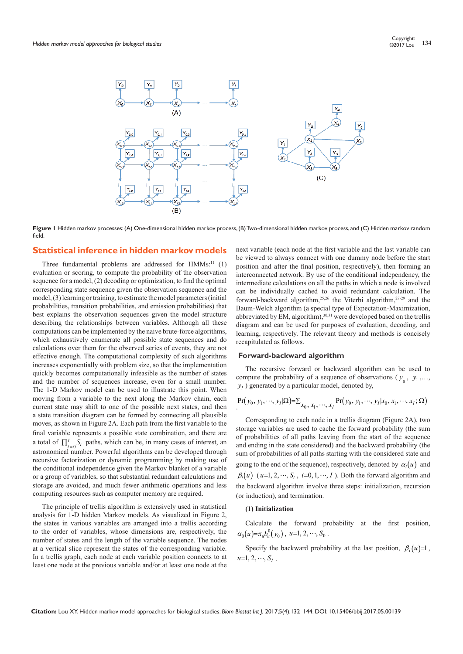

Figure 1 Hidden markov processes: (A) One-dimensional hidden markov process, (B) Two-dimensional hidden markov process, and (C) Hidden markov random field.

## **Statistical inference in hidden markov models**

Three fundamental problems are addressed for  $HMMs$ <sup>11</sup> (1) evaluation or scoring, to compute the probability of the observation sequence for a model, (2) decoding or optimization, to find the optimal corresponding state sequence given the observation sequence and the model, (3) learning or training, to estimate the model parameters (initial probabilities, transition probabilities, and emission probabilities) that best explains the observation sequences given the model structure describing the relationships between variables. Although all these computations can be implemented by the naive brute-force algorithms, which exhaustively enumerate all possible state sequences and do calculations over them for the observed series of events, they are not effective enough. The computational complexity of such algorithms increases exponentially with problem size, so that the implementation quickly becomes computationally infeasible as the number of states and the number of sequences increase, even for a small number. The 1-D Markov model can be used to illustrate this point. When moving from a variable to the next along the Markov chain, each current state may shift to one of the possible next states, and then a state transition diagram can be formed by connecting all plausible moves, as shown in Figure 2A. Each path from the first variable to the final variable represents a possible state combination, and there are a total of  $\prod_{i=0}^{I} S_i$  paths, which can be, in many cases of interest, an astronomical number. Powerful algorithms can be developed through recursive factorization or dynamic programming by making use of the conditional independence given the Markov blanket of a variable or a group of variables, so that substantial redundant calculations and storage are avoided, and much fewer arithmetic operations and less computing resources such as computer memory are required.

The principle of trellis algorithm is extensively used in statistical analysis for 1-D hidden Markov models. As visualized in Figure 2, the states in various variables are arranged into a trellis according to the order of variables, whose dimensions are, respectively, the number of states and the length of the variable sequence. The nodes at a vertical slice represent the states of the corresponding variable. In a trellis graph, each node at each variable position connects to at least one node at the previous variable and/or at least one node at the next variable (each node at the first variable and the last variable can be viewed to always connect with one dummy node before the start position and after the final position, respectively), then forming an interconnected network. By use of the conditional independency, the intermediate calculations on all the paths in which a node is involved can be individually cached to avoid redundant calculation. The forward-backward algorithm,25,26 the Viterbi algorithm,27-29 and the Baum-Welch algorithm (a special type of Expectation-Maximization, abbreviated by EM, algorithm),<sup>30,31</sup> were developed based on the trellis diagram and can be used for purposes of evaluation, decoding, and learning, respectively. The relevant theory and methods is concisely recapitulated as follows.

#### **Forward-backward algorithm**

The recursive forward or backward algorithm can be used to compute the probability of a sequence of observations ( $y_0$ ,  $y_1$ ,...,  $y_I$ ) generated by a particular model, denoted by,

$$
\Pr(y_0, y_1, \cdots, y_I | \Omega) = \sum_{x_0, x_1, \cdots, x_I} \Pr(y_0, y_1, \cdots, y_I | x_0, x_1, \cdots, x_I; \Omega)
$$

Corresponding to each node in a trellis diagram (Figure 2A), two storage variables are used to cache the forward probability (the sum of probabilities of all paths leaving from the start of the sequence and ending in the state considered) and the backward probability (the sum of probabilities of all paths starting with the considered state and going to the end of the sequence), respectively, denoted by  $\alpha_i(u)$  and  $\beta_i(u)$  ( $u=1, 2, \dots, S_i$ ,  $i=0, 1, \dots, I$ ). Both the forward algorithm and the backward algorithm involve three steps: initialization, recursion (or induction), and termination.

#### **(1) Initialization**

Calculate the forward probability at the first position,  $\alpha_0(u) = \pi_u b_u^0(y_0)$ ,  $u=1, 2, \dots, S_0$ .

Specify the backward probability at the last position,  $\beta_I(u)=1$ ,  $u=1, 2, \cdots, S_{i}$ .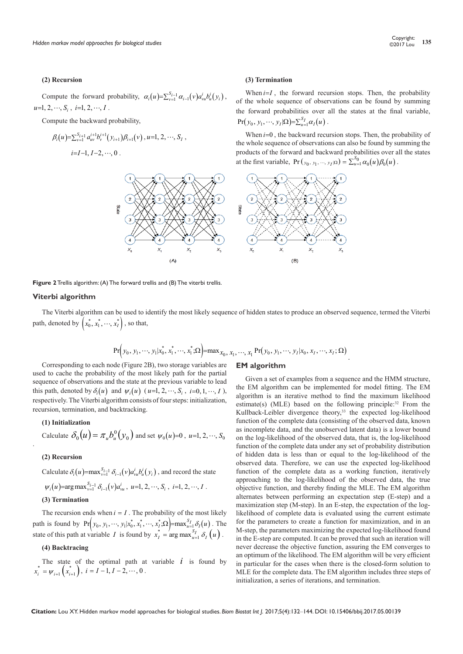#### **(2) Recursion**

#### **(3) Termination**

Compute the forward probability,  $\alpha_i(u) = \sum_{v=1}^{S_{i-1}} \alpha_{i-1}(v) a_{vu}^i b_u^i(y_i)$ ,  $u=1, 2, \cdots, S_i$ ,  $i=1, 2, \cdots, I$ .

Compute the backward probability,

$$
\beta_i(u) = \sum_{v=1}^{S_{i+1}} a_{uv}^{i+1} b_v^{i+1}(y_{i+1}) \beta_{i+1}(v), u=1, 2, \cdots, S_I,
$$
  

$$
i=I-1, I-2, \cdots, 0.
$$

When  $i=I$ , the forward recursion stops. Then, the probability of the whole sequence of observations can be found by summing the forward probabilities over all the states at the final variable,  $Pr(y_0, y_1, \dots, y_I | \Omega) = \sum_{u=1}^{S_I} \alpha_I(u)$ .

When *i*=0, the backward recursion stops. Then, the probability of the whole sequence of observations can also be found by summing the products of the forward and backward probabilities over all the states at the first variable,  $Pr(y_0, y_1, ..., y_I|\Omega) = \sum_{u=1}^{S_0} \alpha_0(u) \beta_0(u)$ .



**Figure 2** Trellis algorithm: (A) The forward trellis and (B) The viterbi trellis.

#### **Viterbi algorithm**

The Viterbi algorithm can be used to identify the most likely sequence of hidden states to produce an observed sequence, termed the Viterbi path, denoted by  $\left(x_0^*, x_1^*, \dots, x_I^*\right)$ , so that,

$$
\Pr(y_0, y_1, \dots, y_l | x_0^*, x_1^*, \dots, x_1^*; \Omega) = \max_{x_0, x_1, \dots, x_l} \Pr(y_0, y_1, \dots, y_l | x_0, x_l, \dots, x_l; \Omega)
$$

Corresponding to each node (Figure 2B), two storage variables are used to cache the probability of the most likely path for the partial sequence of observations and the state at the previous variable to lead this path, denoted by  $\delta_i(u)$  and  $\psi_i(u)$  (*u*=1, 2,  $\cdots$ , S<sub>i</sub>, *i*=0, 1,  $\cdots$ , I), respectively. The Viterbi algorithm consists of four steps: initialization, recursion, termination, and backtracking.

#### **(1) Initialization**

Calculate 
$$
\delta_0(u) = \pi_u b_u^0(y_0)
$$
 and set  $\psi_0(u)=0$ ,  $u=1, 2, \dots, S_0$ 

#### **(2) Recursion**

.

Calculate  $\delta_i(u) = \max_{v=1}^{S_{i-1}} \delta_{i-1}(v) a_w^i b_u^i(y_i)$ , and record the state

$$
\psi_i(u)
$$
=arg max<sub>v=1</sub><sup>S<sub>i-1</sub></sup>  $\delta_{i-1}(v)a_{vu}^i$ ,  $u=1, 2, \dots, S_i$ ,  $i=1, 2, \dots, I$ .

#### **(3) Termination**

The recursion ends when  $i = I$ . The probability of the most likely path is found by  $Pr ( y_0, y_1, \dots, y_l | x_0^*, x_1^*, \dots, x_I^*, \Omega ) = max_{u=1}^{S_I} \delta_I(u)$ . The state of this path at variable *I* is found by  $x_I^* = \arg \max_{u=1}^{S_I} \delta_I(u)$ .

## **(4) Backtracing**

The state of the optimal path at variable  $i$  is found by  $x_{i}^{*} = \psi_{i+1} \left( x_{i+1}^{*} \right), i = I-1, I-2, \cdots, 0$ .

#### **EM algorithm**

Given a set of examples from a sequence and the HMM structure, the EM algorithm can be implemented for model fitting. The EM algorithm is an iterative method to find the maximum likelihood estimate(s) (MLE) based on the following principle: $32$  From the Kullback-Leibler divergence theory,<sup>33</sup> the expected log-likelihood function of the complete data (consisting of the observed data, known as incomplete data, and the unobserved latent data) is a lower bound on the log-likelihood of the observed data, that is, the log-likelihood function of the complete data under any set of probability distribution of hidden data is less than or equal to the log-likelihood of the observed data. Therefore, we can use the expected log-likelihood function of the complete data as a working function, iteratively approaching to the log-likelihood of the observed data, the true objective function, and thereby finding the MLE. The EM algorithm alternates between performing an expectation step (E-step) and a maximization step (M-step). In an E-step, the expectation of the loglikelihood of complete data is evaluated using the current estimate for the parameters to create a function for maximization, and in an M-step, the parameters maximizing the expected log-likelihood found in the E-step are computed. It can be proved that such an iteration will never decrease the objective function, assuring the EM converges to an optimum of the likelihood. The EM algorithm will be very efficient in particular for the cases when there is the closed-form solution to MLE for the complete data. The EM algorithm includes three steps of initialization, a series of iterations, and termination.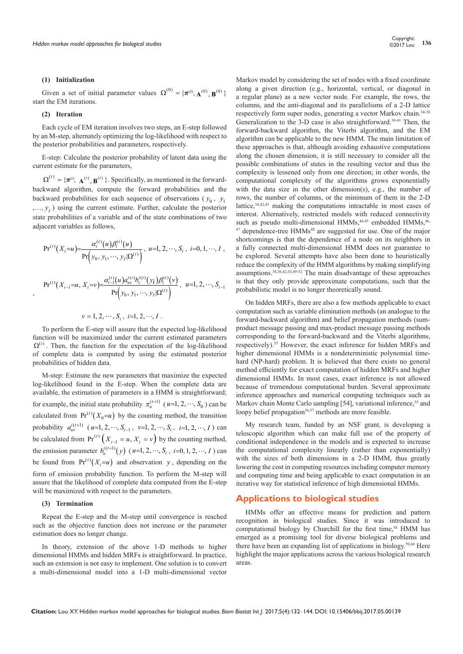#### **(1) Initialization**

Given a set of initial parameter values  $\Omega^{(0)} = {\pi^{(0)}, \mathbf{A}^{(0)}, \mathbf{B}^{(0)}}$ start the EM iterations.

#### **(2) Iteration**

,

Each cycle of EM iteration involves two steps, an E-step followed by an M-step, alternately optimizing the log-likelihood with respect to the posterior probabilities and parameters, respectively.

E-step: Calculate the posterior probability of latent data using the current estimate for the parameters,

 $\Omega^{(t)} = {\pi^{(t)}, \mathbf{A}^{(t)}, \mathbf{B}^{(t)}}$ . Specifically, as mentioned in the forwardbackward algorithm, compute the forward probabilities and the backward probabilities for each sequence of observations ( $y_0$ ,  $y_1$  $, \ldots, y<sub>I</sub>$ ) using the current estimate. Further, calculate the posterior state probabilities of a variable and of the state combinations of two adjacent variables as follows,

$$
Pr^{(t)}(X_i = u) = \frac{\alpha_i^{(t)}(u)\beta_i^{(t)}(u)}{Pr(y_0, y_1, \cdots, y_I|\Omega^{(t)})}, \ u=1, 2, \cdots, S_i, \ i=0, 1, \cdots, I,
$$
  

$$
Pr^{(t)}(X_{i-1} = u, X_i = v) = \frac{\alpha_{i-1}^{(t)}(u)\alpha_w^{i(t)}b_v^{i(t)}(y_i)\beta_i^{(t)}(v)}{Pr(y_0, y_1, \cdots, y_I|\Omega^{(t)})}, \ u=1, 2, \cdots, S_{i-1}
$$

$$
v = 1, 2, \cdots, S_i, i=1, 2, \cdots, I
$$
.

To perform the E-step will assure that the expected log-likelihood function will be maximized under the current estimated parameters  $\Omega^{(t)}$ . Then, the function for the expectation of the log-likelihood of complete data is computed by using the estimated posterior probabilities of hidden data.

M-step: Estimate the new parameters that maximize the expected log-likelihood found in the E-step. When the complete data are available, the estimation of parameters in a HMM is straightforward; for example, the initial state probability  $\pi_u^{(t+1)}$  ( $u=1, 2, \dots, S_0$ ) can be calculated from  $Pr^{(t)}(X_0=u)$  by the counting method, the transition probability  $a_{uv}^{i(t+1)}$   $(u=1, 2, \dots, S_{i-1}, v=1, 2, \dots, S_i, i=1, 2, \dots, I)$  can be calculated from  $Pr^{(t)}(X_{i-1} = u, X_i = v)$  by the counting method, the emission parameter  $b_u^{i(t+1)}(y)$  (*u*=1, 2, ···, S<sub>*i*</sub>, *i*=0, 1, 2, ···, *I*) can be found from  $Pr^{(t)}(X_i = u)$  and observation *y*, depending on the form of emission probability function. To perform the M-step will assure that the likelihood of complete data computed from the E-step will be maximized with respect to the parameters.

#### **(3) Termination**

Repeat the E-step and the M-step until convergence is reached such as the objective function does not increase or the parameter estimation does no longer change.

In theory, extension of the above 1-D methods to higher dimensional HMMs and hidden MRFs is straightforward. In practice, such an extension is not easy to implement. One solution is to convert a multi-dimensional model into a 1-D multi-dimensional vector

Markov model by considering the set of nodes with a fixed coordinate along a given direction (e.g., horizontal, vertical, or diagonal in a regular plane) as a new vector node. For example, the rows, the columns, and the anti-diagonal and its parallelisms of a 2-D lattice respectively form super nodes, generating a vector Markov chain.34-38 Generalization to the 3-D case is also straightforward.39-41 Then, the forward-backward algorithm, the Viterbi algorithm, and the EM algorithm can be applicable to the new HMM. The main limitation of these approaches is that, although avoiding exhaustive computations along the chosen dimension, it is still necessary to consider all the possible combinations of states in the resulting vector and thus the complexity is lessened only from one direction; in other words, the computational complexity of the algorithms grows exponentially with the data size in the other dimension(s), e.g., the number of rows, the number of columns, or the minimum of them in the 2-D lattice,34,42,43 making the computations intractable in most cases of interest. Alternatively, restricted models with reduced connectivity such as pseudo multi-dimensional HMMs,<sup>44,45</sup> embedded HMMs,<sup>46</sup> <sup>47</sup> dependence-tree HMMs<sup>48</sup> are suggested for use. One of the major shortcomings is that the dependence of a node on its neighbors in a fully connected multi-dimensional HMM does not guarantee to be explored. Several attempts have also been done to heuristically reduce the complexity of the HMM algorithms by making simplifying assumptions.34,36,42,43,49-52 The main disadvantage of these approaches is that they only provide approximate computations, such that the probabilistic model is no longer theoretically sound.

On hidden MRFs, there are also a few methods applicable to exact computation such as variable elimination methods (an analogue to the forward-backward algorithm) and belief propagation methods (sumproduct message passing and max-product message passing methods corresponding to the forward-backward and the Viterbi algorithms, respectively).53 However, the exact inference for hidden MRFs and higher dimensional HMMs is a nondeterministic polynomial timehard (NP-hard) problem. It is believed that there exists no general method efficiently for exact computation of hidden MRFs and higher dimensional HMMs. In most cases, exact inference is not allowed because of tremendous computational burden. Several approximate inference approaches and numerical computing techniques such as Markov chain Monte Carlo sampling [54], variational inference,<sup>55</sup> and loopy belief propagation<sup>56,57</sup> methods are more feasible.

My research team, funded by an NSF grant, is developing a telescopic algorithm which can make full use of the property of conditional independence in the models and is expected to increase the computational complexity linearly (rather than exponentially) with the sizes of both dimensions in a 2-D HMM, thus greatly lowering the cost in computing resources including computer memory and computing time and being applicable to exact computation in an iterative way for statistical inference of high dimensional HMMs.

## **Applications to biological studies**

HMMs offer an effective means for prediction and pattern recognition in biological studies. Since it was introduced to computational biology by Churchill for the first time,<sup>58</sup> HMM has emerged as a promising tool for diverse biological problems and there have been an expanding list of applications in biology.<sup>59,60</sup> Here highlight the major applications across the various biological research areas.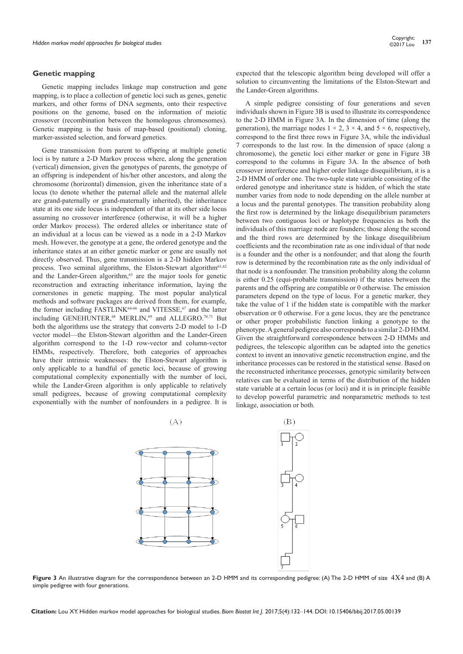#### **Genetic mapping**

Genetic mapping includes linkage map construction and gene mapping, is to place a collection of genetic loci such as genes, genetic markers, and other forms of DNA segments, onto their respective positions on the genome, based on the information of meiotic crossover (recombination between the homologous chromosomes). Genetic mapping is the basis of map-based (positional) cloning, marker-assisted selection, and forward genetics.

Gene transmission from parent to offspring at multiple genetic loci is by nature a 2-D Markov process where, along the generation (vertical) dimension, given the genotypes of parents, the genotype of an offspring is independent of his/her other ancestors, and along the chromosome (horizontal) dimension, given the inheritance state of a locus (to denote whether the paternal allele and the maternal allele are grand-paternally or grand-maternally inherited), the inheritance state at its one side locus is independent of that at its other side locus assuming no crossover interference (otherwise, it will be a higher order Markov process). The ordered alleles or inheritance state of an individual at a locus can be viewed as a node in a 2-D Markov mesh. However, the genotype at a gene, the ordered genotype and the inheritance states at an either genetic marker or gene are usually not directly observed. Thus, gene transmission is a 2-D hidden Markov process. Two seminal algorithms, the Elston-Stewart algorithm<sup>61,62</sup> and the Lander-Green algorithm, $63$  are the major tools for genetic reconstruction and extracting inheritance information, laying the cornerstones in genetic mapping. The most popular analytical methods and software packages are derived from them, for example, the former including FASTLINK<sup>64-66</sup> and VITESSE,<sup>67</sup> and the latter including GENEHUNTER,<sup>68</sup> MERLIN,<sup>69</sup> and ALLEGRO.<sup>70,71</sup> But both the algorithms use the strategy that converts 2-D model to 1-D vector model—the Elston-Stewart algorithm and the Lander-Green algorithm correspond to the 1-D row-vector and column-vector HMMs, respectively. Therefore, both categories of approaches have their intrinsic weaknesses: the Elston-Stewart algorithm is only applicable to a handful of genetic loci, because of growing computational complexity exponentially with the number of loci, while the Lander-Green algorithm is only applicable to relatively small pedigrees, because of growing computational complexity exponentially with the number of nonfounders in a pedigree. It is

expected that the telescopic algorithm being developed will offer a solution to circumventing the limitations of the Elston-Stewart and the Lander-Green algorithms.

A simple pedigree consisting of four generations and seven individuals shown in Figure 3B is used to illustrate its correspondence to the 2-D HMM in Figure 3A. In the dimension of time (along the generation), the marriage nodes  $1 \times 2$ ,  $3 \times 4$ , and  $5 \times 6$ , respectively, correspond to the first three rows in Figure 3A, while the individual 7 corresponds to the last row. In the dimension of space (along a chromosome), the genetic loci either marker or gene in Figure 3B correspond to the columns in Figure 3A. In the absence of both crossover interference and higher order linkage disequilibrium, it is a 2-D HMM of order one. The two-tuple state variable consisting of the ordered genotype and inheritance state is hidden, of which the state number varies from node to node depending on the allele number at a locus and the parental genotypes. The transition probability along the first row is determined by the linkage disequilibrium parameters between two contiguous loci or haplotype frequencies as both the individuals of this marriage node are founders; those along the second and the third rows are determined by the linkage disequilibrium coefficients and the recombination rate as one individual of that node is a founder and the other is a nonfounder; and that along the fourth row is determined by the recombination rate as the only individual of that node is a nonfounder. The transition probability along the column is either 0.25 (equi-probable transmission) if the states between the parents and the offspring are compatible or 0 otherwise. The emission parameters depend on the type of locus. For a genetic marker, they take the value of 1 if the hidden state is compatible with the marker observation or 0 otherwise. For a gene locus, they are the penetrance or other proper probabilistic function linking a genotype to the phenotype. A general pedigree also corresponds to a similar 2-D HMM. Given the straightforward correspondence between 2-D HMMs and pedigrees, the telescopic algorithm can be adapted into the genetics context to invent an innovative genetic reconstruction engine, and the inheritance processes can be restored in the statistical sense. Based on the reconstructed inheritance processes, genotypic similarity between relatives can be evaluated in terms of the distribution of the hidden state variable at a certain locus (or loci) and it is in principle feasible to develop powerful parametric and nonparametric methods to test linkage, association or both.



**Figure 3** An illustrative diagram for the correspondence between an 2-D HMM and its corresponding pedigree: (A) The 2-D HMM of size 4 4 Χ and (B) A simple pedigree with four generations.

**Citation:** Lou XY. Hidden markov model approaches for biological studies. *Biom Biostat Int J.* 2017;5(4):132‒144. DOI: [10.15406/bbij.2017.05.00139](https://doi.org/10.15406/bbij.2017.05.00139)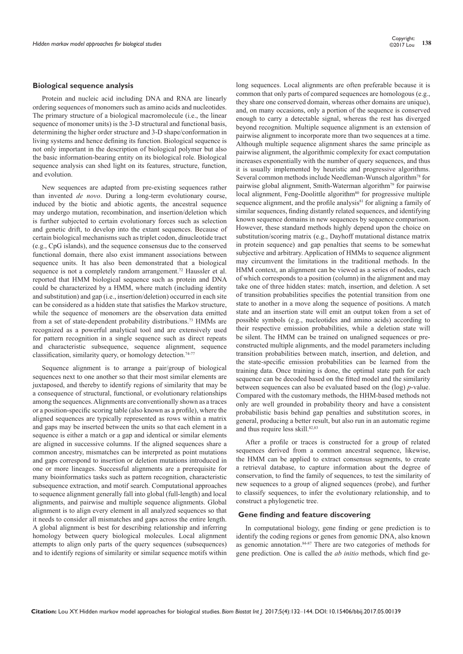#### **Biological sequence analysis**

Protein and nucleic acid including DNA and RNA are linearly ordering sequences of monomers such as amino acids and nucleotides. The primary structure of a biological macromolecule (i.e., the linear sequence of monomer units) is the 3-D structural and functional basis, determining the higher order structure and 3-D shape/conformation in living systems and hence defining its function. Biological sequence is not only important in the description of biological polymer but also the basic information-bearing entity on its biological role. Biological sequence analysis can shed light on its features, structure, function, and evolution.

New sequences are adapted from pre-existing sequences rather than invented *de novo*. During a long-term evolutionary course, induced by the biotic and abiotic agents, the ancestral sequence may undergo mutation, recombination, and insertion/deletion which is further subjected to certain evolutionary forces such as selection and genetic drift, to develop into the extant sequences. Because of certain biological mechanisms such as triplet codon, dinucleotide tract (e.g., CpG islands), and the sequence consensus due to the conserved functional domain, there also exist immanent associations between sequence units. It has also been demonstrated that a biological sequence is not a completely random arrangement.<sup>72</sup> Haussler et al. reported that HMM biological sequence such as protein and DNA could be characterized by a HMM, where match (including identity and substitution) and gap (i.e., insertion/deletion) occurred in each site can be considered as a hidden state that satisfies the Markov structure, while the sequence of monomers are the observation data emitted from a set of state-dependent probability distributions.73 HMMs are recognized as a powerful analytical tool and are extensively used for pattern recognition in a single sequence such as direct repeats and characteristic subsequence, sequence alignment, sequence classification, similarity query, or homology detection.<sup>74-77</sup>

Sequence alignment is to arrange a pair/group of biological sequences next to one another so that their most similar elements are juxtaposed, and thereby to identify regions of similarity that may be a consequence of structural, functional, or evolutionary relationships among the sequences. Alignments are conventionally shown as a traces or a position-specific scoring table (also known as a profile), where the aligned sequences are typically represented as rows within a matrix and gaps may be inserted between the units so that each element in a sequence is either a match or a gap and identical or similar elements are aligned in successive columns. If the aligned sequences share a common ancestry, mismatches can be interpreted as point mutations and gaps correspond to insertion or deletion mutations introduced in one or more lineages. Successful alignments are a prerequisite for many bioinformatics tasks such as pattern recognition, characteristic subsequence extraction, and motif search. Computational approaches to sequence alignment generally fall into global (full-length) and local alignments, and pairwise and multiple sequence alignments. Global alignment is to align every element in all analyzed sequences so that it needs to consider all mismatches and gaps across the entire length. A global alignment is best for describing relationship and inferring homology between query biological molecules. Local alignment attempts to align only parts of the query sequences (subsequences) and to identify regions of similarity or similar sequence motifs within

long sequences. Local alignments are often preferable because it is common that only parts of compared sequences are homologous (e.g., they share one conserved domain, whereas other domains are unique), and, on many occasions, only a portion of the sequence is conserved enough to carry a detectable signal, whereas the rest has diverged beyond recognition. Multiple sequence alignment is an extension of pairwise alignment to incorporate more than two sequences at a time. Although multiple sequence alignment shares the same principle as pairwise alignment, the algorithmic complexity for exact computation increases exponentially with the number of query sequences, and thus it is usually implemented by heuristic and progressive algorithms. Several common methods include Needleman-Wunsch algorithm78 for pairwise global alignment, Smith-Waterman algorithm79 for pairwise local alignment, Feng-Doolittle algorithm<sup>80</sup> for progressive multiple sequence alignment, and the profile analysis $81$  for aligning a family of similar sequences, finding distantly related sequences, and identifying known sequence domains in new sequences by sequence comparison. However, these standard methods highly depend upon the choice on substitution/scoring matrix (e.g., Dayhoff mutational distance matrix in protein sequence) and gap penalties that seems to be somewhat subjective and arbitrary. Application of HMMs to sequence alignment may circumvent the limitations in the traditional methods. In the HMM context, an alignment can be viewed as a series of nodes, each of which corresponds to a position (column) in the alignment and may take one of three hidden states: match, insertion, and deletion. A set of transition probabilities specifies the potential transition from one state to another in a move along the sequence of positions. A match state and an insertion state will emit an output token from a set of possible symbols (e.g., nucleotides and amino acids) according to their respective emission probabilities, while a deletion state will be silent. The HMM can be trained on unaligned sequences or preconstructed multiple alignments, and the model parameters including transition probabilities between match, insertion, and deletion, and the state-specific emission probabilities can be learned from the training data. Once training is done, the optimal state path for each sequence can be decoded based on the fitted model and the similarity between sequences can also be evaluated based on the (log) *p*-value. Compared with the customary methods, the HHM-based methods not only are well grounded in probability theory and have a consistent probabilistic basis behind gap penalties and substitution scores, in general, producing a better result, but also run in an automatic regime and thus require less skill.<sup>82,83</sup>

After a profile or traces is constructed for a group of related sequences derived from a common ancestral sequence, likewise, the HMM can be applied to extract consensus segments, to create a retrieval database, to capture information about the degree of conservation, to find the family of sequences, to test the similarity of new sequences to a group of aligned sequences (probe), and further to classify sequences, to infer the evolutionary relationship, and to construct a phylogenetic tree.

#### **Gene finding and feature discovering**

In computational biology, gene finding or gene prediction is to identify the coding regions or genes from genomic DNA, also known as genomic annotation.84-87 There are two categories of methods for gene prediction. One is called the *ab initio* methods, which find ge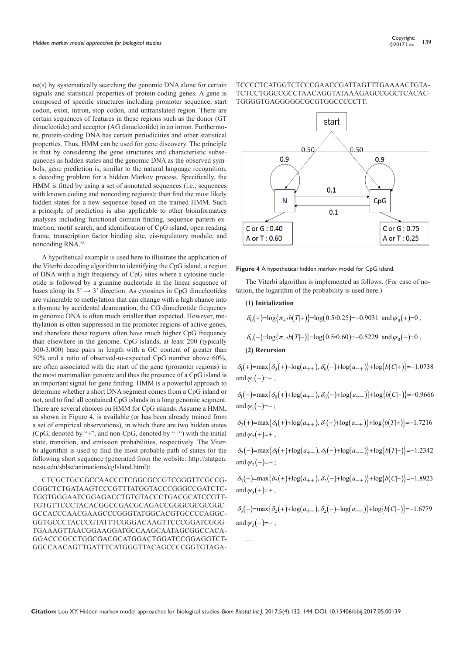ne(s) by systematically searching the genomic DNA alone for certain signals and statistical properties of protein-coding genes. A gene is composed of specific structures including promoter sequence, start codon, exon, intron, stop codon, and untranslated region. There are certain sequences of features in these regions such as the donor (GT dinucleotide) and acceptor (AG dinucleotide) in an intron. Furthermore, protein-coding DNA has certain periodicities and other statistical properties. Thus, HMM can be used for gene discovery. The principle is that by considering the gene structures and characteristic subsequneces as hidden states and the genomic DNA as the observed symbols, gene prediction is, similar to the natural language recognition, a decoding problem for a hidden Markov process. Specifically, the HMM is fitted by using a set of annotated sequences (i.e., sequences with known coding and noncoding regions); then find the most likely hidden states for a new sequence based on the trained HMM. Such a principle of prediction is also applicable to other bioinformatics analyses including functional domain finding, sequence pattern extraction, motif search, and identification of CpG island, open reading frame, transcription factor binding site, cis-regulatory module, and noncoding RNA.88

A hypothetical example is used here to illustrate the application of the Viterbi decoding algorithm to identifying the CpG island, a region of DNA with a high frequency of CpG sites where a cytosine nucleotide is followed by a guanine nucleotide in the linear sequence of bases along its  $5' \rightarrow 3'$  direction. As cytosines in CpG dinucleotides are vulnerable to methylation that can change with a high chance into a thymine by accidental deamination, the CG dinucleotide frequency in genomic DNA is often much smaller than expected. However, methylation is often suppressed in the promoter regions of active genes, and therefore those regions often have much higher CpG frequency than elsewhere in the genome. CpG islands, at least 200 (typically 300-3,000) base pairs in length with a GC content of greater than 50% and a ratio of observed-to-expected CpG number above 60%, are often associated with the start of the gene (promoter regions) in the most mammalian genome and thus the presence of a CpG island is an important signal for gene finding. HMM is a powerful approach to determine whether a short DNA segment comes from a CpG island or not, and to find all contained CpG islands in a long genomic segment. There are several choices on HMM for CpG islands. Assume a HMM, as shown in Figure 4, is available (or has been already trained from a set of empirical observations), in which there are two hidden states (CpG, denoted by "+", and non-CpG, denoted by "−") with the initial state, transition, and emission probabilities, respectively. The Viterbi algorithm is used to find the most probable path of states for the following short sequence (generated from the website: http://statgen. ncsu.edu/sblse/animations/cgIsland.html):

CTCGCTGCCGCCAACCCTCGGCGCCGTCGGGTTCGCCG-CGGCTCTGATAAGTCCCGTTTATGGTACCCGGGCCGATCTC-TGGTGGGAATCGGAGACCTGTGTACCCTGACGCATCCGTT-TGTGTTCCCTACACGGCCGACGCAGACCGGGCGCGCGGC-GCCACCCAACGAAGCCCGGGTATGGCACGTGCCCCAGGC-GGTGCCCTACCCGTATTTCGGGACAAGTTCCCGGATCGGG-TGAAAGTTAACGGAAGGATGCCAAGCAATAGCGGCCACA-GGACCCGCCTGGCGACGCATGGACTGGATCCGGAGGTCT-GGCCAACAGTTGATTTCATGGGTTACAGCCCCGGTGTAGA-

## TCCCCTCATGGTCTCCCGAACCGATTAGTTTGAAAACTGTA-TCTCCTGGCCGCCTAACAGGTATAAAGAGCCGGCTCACAC-TGGGGTGAGGGGGCGCGTGGCCCCCTT.



**Figure 4** A hypothetical hidden markov model for CpG island.

The Viterbi algorithm is implemented as follows. (For ease of notation, the logarithm of the probability is used here.)

#### **(1) Initialization**

$$
\delta_0(+) = \log \{\pi_* *b(T|+)\} = \log(0.5 * 0.25) = -0.9031
$$
 and  $\psi_0(+) = 0$ ,

 $\delta_0(-) = \log{\pi_*b(T|-)} = \log(0.5*0.60) = -0.5229$  and  $\psi_0(-)=0$ ,

#### **(2) Recursion**

 $\delta_1(+)= \max{\delta_0(+)} + \log(a_{++}), \delta_0(-)+ \log(a_{-+})\} + \log{b(C|+)} = -1.0738$ and  $\psi_1(+)=+$ ,

 $\delta_1(-)=\max{\delta_0(+)}+\log(a_{+-}), \delta_0(-)+\log(a_{--})\}+\log{b(C|-)}=-0.9666$ and  $\psi_1(-)=-$  :

 $\delta_2$ (+)=max $\{\delta_1$ (+)+ $\log(a_{++})$ ,  $\delta_1$ (−)+ $\log(a_{-+})$ }+ $\log\{b(T|+)$ }=-1.7216 and  $w_2(+)=+$ .

 $\delta_2(-\frac{1}{\pi} \max\{\delta_1(+)+\log(a_{+-}),\delta_1(-)+\log(a_{--})\}+\log\{b(T|-)\}=-1.2342$ and  $w_2(-)=-$ :

 $\delta_3$ (+)=max $\{\delta_2$ (+)+ $\log(a_{++}), \delta_2$ (-)+ $\log(a_{-+})\}$ + $\log(b(C|+)$ }=−1.8923 and  $w_3(+) = +$ .

 $\delta_3(-\frac{1}{2} \max{\delta_2(+)} + \log(a_{+-}), \delta_2(-) + \log(a_{--})\} + \log{b(C|-)} = -1.6779$ and  $\psi_3(-)=-$ ;

…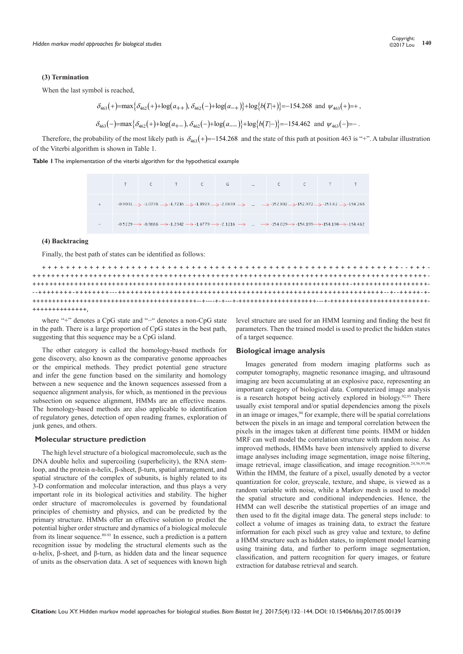#### **(3) Termination**

When the last symbol is reached,

$$
\delta_{463}(+) = \max \{ \delta_{462}(+) + \log(a_{++}), \delta_{462}(-) + \log(a_{-+}) \} + \log \{ b(T|+) \} = -154.268 \text{ and } \psi_{463}(+) = + ,
$$
  

$$
\delta_{463}(-) = \max \{ \delta_{462}(+) + \log(a_{+-}), \delta_{462}(-) + \log(a_{--}) \} + \log \{ b(T|-) \} = -154.462 \text{ and } \psi_{463}(-) = - .
$$

Therefore, the probability of the most likely path is  $\delta_{463}(+)=-154.268$  and the state of this path at position 463 is "+". A tabular illustration of the Viterbi algorithm is shown in Table 1.



|                          |  |  | TCTCGL.CCTT                                                                                                                                                                                |  |  |  |
|--------------------------|--|--|--------------------------------------------------------------------------------------------------------------------------------------------------------------------------------------------|--|--|--|
|                          |  |  | $-0.9031 \rightarrow -1.0738 \rightarrow -1.7216 \rightarrow -1.8923 \rightarrow -2.0630 \rightarrow  \rightarrow -152.802 \rightarrow -152.972 \rightarrow -153.62 \rightarrow -154.268$  |  |  |  |
| $\overline{\phantom{a}}$ |  |  | $-0.5229 \rightarrow -0.9666 \rightarrow -1.2342 \rightarrow -1.6779 \rightarrow -2.1216 \rightarrow  \rightarrow -154.029 \rightarrow -154.199 \rightarrow -154.194 \rightarrow -154.462$ |  |  |  |

#### **(4) Backtracing**

Finally, the best path of states can be identified as follows:

++++++++++++++++++++++++++++++++++++++++++++++++++++++++++++--+++- ++++++++++++++++++++++++++++++++++++++++++++++++++++++++++++++++++++++++++++++++++++- ++++++++++++++++++++++++++++++++++++++++++++++++++++++++++++++++++++++++++++-++++++++++++++++++- --++++++++-++++++++---++++++++++++++++++++++++++++++++++++++++++++++++++++++++++++++--+--+++++-+- ++++++++++++++++++++++++++++++++++++++++++--+----+-+---+-++++++++++++++++++++---+-+++++++++++++++++++++++++- ++++++++++++++,

where "+" denotes a CpG state and "−" denotes a non-CpG state in the path. There is a large proportion of CpG states in the best path, suggesting that this sequence may be a CpG island.

The other category is called the homology-based methods for gene discovery, also known as the comparative genome approaches or the empirical methods. They predict potential gene structure and infer the gene function based on the similarity and homology between a new sequence and the known sequences assessed from a sequence alignment analysis, for which, as mentioned in the previous subsection on sequence alignment, HMMs are an effective means. The homology-based methods are also applicable to identification of regulatory genes, detection of open reading frames, exploration of junk genes, and others.

#### **Molecular structure prediction**

The high level structure of a biological macromolecule, such as the DNA double helix and supercoiling (superhelicity), the RNA stemloop, and the protein α-helix, β-sheet, β-turn, spatial arrangement, and spatial structure of the complex of subunits, is highly related to its 3-D conformation and molecular interaction, and thus plays a very important role in its biological activities and stability. The higher order structure of macromolecules is governed by foundational principles of chemistry and physics, and can be predicted by the primary structure. HMMs offer an effective solution to predict the potential higher order structure and dynamics of a biological molecule from its linear sequence.<sup>89-91</sup> In essence, such a prediction is a pattern recognition issue by modeling the structural elements such as the α-helix, β-sheet, and β-turn, as hidden data and the linear sequence of units as the observation data. A set of sequences with known high

level structure are used for an HMM learning and finding the best fit parameters. Then the trained model is used to predict the hidden states of a target sequence.

#### **Biological image analysis**

Images generated from modern imaging platforms such as computer tomography, magnetic resonance imaging, and ultrasound imaging are been accumulating at an explosive pace, representing an important category of biological data. Computerized image analysis is a research hotspot being actively explored in biology.<sup>92,93</sup> There usually exist temporal and/or spatial dependencies among the pixels in an image or images,  $94$  for example, there will be spatial correlations between the pixels in an image and temporal correlation between the pixels in the images taken at different time points. HMM or hidden MRF can well model the correlation structure with random noise. As improved methods, HMMs have been intensively applied to diverse image analyses including image segmentation, image noise filtering, image retrieval, image classification, and image recognition.<sup>24,56,95,96</sup> Within the HMM, the feature of a pixel, usually denoted by a vector quantization for color, greyscale, texture, and shape, is viewed as a random variable with noise, while a Markov mesh is used to model the spatial structure and conditional independencies. Hence, the HMM can well describe the statistical properties of an image and then used to fit the digital image data. The general steps include: to collect a volume of images as training data, to extract the feature information for each pixel such as grey value and texture, to define a HMM structure such as hidden states, to implement model learning using training data, and further to perform image segmentation, classification, and pattern recognition for query images, or feature extraction for database retrieval and search.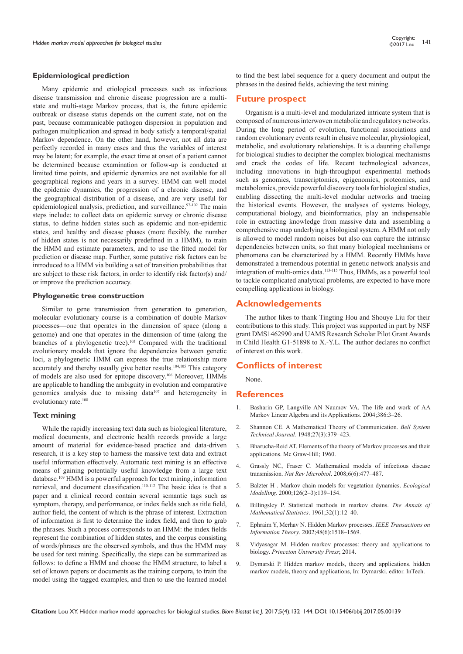#### **Epidemiological prediction**

Many epidemic and etiological processes such as infectious disease transmission and chronic disease progression are a multistate and multi-stage Markov process, that is, the future epidemic outbreak or disease status depends on the current state, not on the past, because communicable pathogen dispersion in population and pathogen multiplication and spread in body satisfy a temporal/spatial Markov dependence. On the other hand, however, not all data are perfectly recorded in many cases and thus the variables of interest may be latent; for example, the exact time at onset of a patient cannot be determined because examination or follow-up is conducted at limited time points, and epidemic dynamics are not available for all geographical regions and years in a survey. HMM can well model the epidemic dynamics, the progression of a chronic disease, and the geographical distribution of a disease, and are very useful for epidemiological analysis, prediction, and surveillance.<sup>97-102</sup> The main steps include: to collect data on epidemic survey or chronic disease status, to define hidden states such as epidemic and non-epidemic states, and healthy and disease phases (more flexibly, the number of hidden states is not necessarily predefined in a HMM), to train the HMM and estimate parameters, and to use the fitted model for prediction or disease map. Further, some putative risk factors can be introduced to a HMM via building a set of transition probabilities that are subject to these risk factors, in order to identify risk factor(s) and/ or improve the prediction accuracy.

#### **Phylogenetic tree construction**

Similar to gene transmission from generation to generation, molecular evolutionary course is a combination of double Markov processes—one that operates in the dimension of space (along a genome) and one that operates in the dimension of time (along the branches of a phylogenetic tree).<sup>103</sup> Compared with the traditional evolutionary models that ignore the dependencies between genetic loci, a phylogenetic HMM can express the true relationship more accurately and thereby usually give better results.104,105 This category of models are also used for epitope discovery.106 Moreover, HMMs are applicable to handling the ambiguity in evolution and comparative genomics analysis due to missing data<sup>107</sup> and heterogeneity in evolutionary rate.108

#### **Text mining**

While the rapidly increasing text data such as biological literature, medical documents, and electronic health records provide a large amount of material for evidence-based practice and data-driven research, it is a key step to harness the massive text data and extract useful information effectively. Automatic text mining is an effective means of gaining potentially useful knowledge from a large text database.<sup>109</sup> HMM is a powerful approach for text mining, information retrieval, and document classification.<sup>110-112</sup> The basic idea is that a paper and a clinical record contain several semantic tags such as symptom, therapy, and performance, or index fields such as title field, author field, the content of which is the phrase of interest. Extraction of information is first to determine the index field, and then to grab the phrases. Such a process corresponds to an HMM: the index fields represent the combination of hidden states, and the corpus consisting of words/phrases are the observed symbols, and thus the HMM may be used for text mining. Specifically, the steps can be summarized as follows: to define a HMM and choose the HMM structure, to label a set of known papers or documents as the training corpora, to train the model using the tagged examples, and then to use the learned model

to find the best label sequence for a query document and output the phrases in the desired fields, achieving the text mining.

## **Future prospect**

Organism is a multi-level and modularized intricate system that is composed of numerous interwoven metabolic and regulatory networks. During the long period of evolution, functional associations and random evolutionary events result in elusive molecular, physiological, metabolic, and evolutionary relationships. It is a daunting challenge for biological studies to decipher the complex biological mechanisms and crack the codes of life. Recent technological advances, including innovations in high-throughput experimental methods such as genomics, transcriptomics, epigenomics, proteomics, and metabolomics, provide powerful discovery tools for biological studies, enabling dissecting the multi-level modular networks and tracing the historical events. However, the analyses of systems biology, computational biology, and bioinformatics, play an indispensable role in extracting knowledge from massive data and assembling a comprehensive map underlying a biological system. A HMM not only is allowed to model random noises but also can capture the intrinsic dependencies between units, so that many biological mechanisms or phenomena can be characterized by a HMM. Recently HMMs have demonstrated a tremendous potential in genetic network analysis and integration of multi-omics data.113-115 Thus, HMMs, as a powerful tool to tackle complicated analytical problems, are expected to have more compelling applications in biology.

## **Acknowledgements**

The author likes to thank Tingting Hou and Shouye Liu for their contributions to this study. This project was supported in part by NSF grant DMS1462990 and UAMS Research Scholar Pilot Grant Awards in Child Health G1-51898 to X.-Y.L. The author declares no conflict of interest on this work.

## **Conflicts of interest**

None.

## **References**

- 1. Basharin GP, Langville AN Naumov VA. The life and work of AA Markov Linear Algebra and its Applications. 2004;386:3–26.
- 2. [Shannon CE. A Mathematical Theory of Communication.](mailto:http://onlinelibrary.wiley.com/doi/10.1002/j.1538-7305.1948.tb01338.x/abstract) *Bell System Technical Journal.* [1948;27\(3\):379–423.](mailto:http://onlinelibrary.wiley.com/doi/10.1002/j.1538-7305.1948.tb01338.x/abstract)
- 3. Bharucha-Reid AT. Elements of the theory of Markov processes and their applications. Mc Graw-Hill; 1960.
- 4. [Grassly NC, Fraser C. Mathematical models of infectious disease](mailto:http://www.nature.com/nrmicro/journal/v6/n6/full/nrmicro1845.html)  transmission. *Nat Rev Microbiol*[. 2008;6\(6\):477–487.](mailto:http://www.nature.com/nrmicro/journal/v6/n6/full/nrmicro1845.html)
- 5. [Balzter H . Markov chain models for vegetation dynamics.](mailto:https://lra.le.ac.uk/bitstream/2381/4683/1/ecomod409revised.pdf) *Ecological Modelling*[. 2000;126\(2–3\):139–154.](mailto:https://lra.le.ac.uk/bitstream/2381/4683/1/ecomod409revised.pdf)
- 6. [Billingsley P. Statistical methods in markov chains.](mailto:https://projecteuclid.org/euclid.aoms/1177705136) *The Annals of [Mathematical Statistics](mailto:https://projecteuclid.org/euclid.aoms/1177705136)*. 1961;32(1):12–40.
- 7. [Ephraim Y, Merhav N. Hidden Markov processes.](mailto:https://pdfs.semanticscholar.org/5c23/9544407f4a9569b09d8dfa2927e9fef6219c.pdf) *IEEE Transactions on Information Theory*[. 2002;48\(6\):1518–1569.](mailto:https://pdfs.semanticscholar.org/5c23/9544407f4a9569b09d8dfa2927e9fef6219c.pdf)
- 8. Vidyasagar M. Hidden markov processes: theory and applications to biology. *Princeton University Press*; 2014.
- 9. Dymarski P. Hidden markov models, theory and applications. hidden markov models, theory and applications, In: Dymarski. editor. InTech.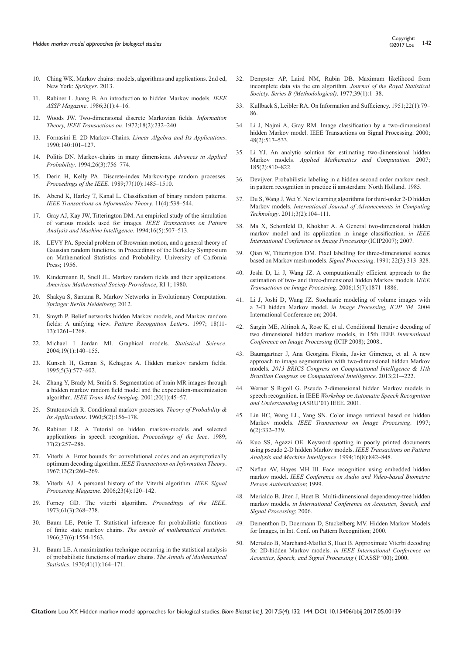- 10. Ching WK. Markov chains: models, algorithms and applications. 2nd ed, New York: *Springer*. 2013.
- 11. Rabiner L Juang B. An introduction to hidden Markov models*. IEEE ASSP Magazine*. 1986;3(1):4–16.
- 12. [Woods JW. Two-dimensional discrete Markovian fields.](mailto:http://ieeexplore.ieee.org/document/1054786/?reload=true) *Information [Theory, IEEE Transactions on](mailto:http://ieeexplore.ieee.org/document/1054786/?reload=true)*. 1972;18(2):232–240.
- 13. Fornasini E. 2D Markov-Chains. *[Linear Algebra and Its Applications](mailto:https://www.statindex.org/articles/94727)*. [1990;140:101–127.](mailto:https://www.statindex.org/articles/94727)
- 14. [Politis DN. Markov-chains in many dimensions.](https://www.jstor.org/stable/i262303) *Advances in Applied Probability*[. 1994;26\(3\):756–774.](https://www.jstor.org/stable/i262303)
- 15. [Derin H, Kelly PA. Discrete-index Markov-type random processes.](mailto:http://ieeexplore.ieee.org/document/40665/)  *Proceedings of the IEEE*[. 1989;77\(10\):1485–1510.](mailto:http://ieeexplore.ieee.org/document/40665/)
- 16. Abend K, Harley T, Kanal L. Classification of binary random patterns. *IEEE Transactions on Information Theory*. 11(4):538–544.
- 17. [Gray AJ, Kay JW, Titterington DM. An empirical study of the simulation](mailto:http://ieeexplore.ieee.org/document/291447/)  [of various models used for images.](mailto:http://ieeexplore.ieee.org/document/291447/) *IEEE Transactions on Pattern [Analysis and Machine Intelligence](mailto:http://ieeexplore.ieee.org/document/291447/)*. 1994;16(5):507–513.
- 18. LEVY PA. Special problem of Brownian motion, and a general theory of Gaussian random functions. in Proceedings of the Berkeley Symposium on Mathematical Statistics and Probability. University of Caifornia Press; 1956.
- 19. Kindermann R, Snell JL. Markov random fields and their applications. *American Mathematical Society Providence*, RI 1; 1980.
- 20. Shakya S, Santana R. Markov Networks in Evolutionary Computation. *Springer Berlin Heidelberg*; 2012.
- 21. [Smyth P. Belief networks hidden Markov models, and Markov random](mailto:http://dl.acm.org/citation.cfm?id=285033)  fields: A unifying view. *[Pattern Recognition Letters](mailto:http://dl.acm.org/citation.cfm?id=285033)*. 1997; 18(11- [13\):1261–1268.](mailto:http://dl.acm.org/citation.cfm?id=285033)
- 22. [Michael I Jordan MI. Graphical models.](mailto:https://projecteuclid.org/download/pdfview_1/euclid.ss/1089808279) *Statistical Science*. [2004;19\(1\):140–155.](mailto:https://projecteuclid.org/download/pdfview_1/euclid.ss/1089808279)
- 23. [Kunsch H, Geman S, Kehagias A. Hidden markov random fields.](mailto:https://projecteuclid.org/euclid.aoap/1177004696)  [1995;5\(3\):577–602.](mailto:https://projecteuclid.org/euclid.aoap/1177004696)
- 24. [Zhang Y, Brady M, Smith S. Segmentation of brain MR images through](mailto:https://www.ncbi.nlm.nih.gov/pubmed/11293691)  [a hidden markov random field model and the expectation-maximization](mailto:https://www.ncbi.nlm.nih.gov/pubmed/11293691)  algorithm. *[IEEE Trans Med Imaging](mailto:https://www.ncbi.nlm.nih.gov/pubmed/11293691)*. 2001;20(1):45–57.
- 25. [Stratonovich R. Conditional markov processes.](mailto:http://epubs.siam.org/doi/abs/10.1137/1105015) *Theory of Probability & Its Applications*[. 1960;5\(2\):156–178.](mailto:http://epubs.siam.org/doi/abs/10.1137/1105015)
- 26. [Rabiner LR. A Tutorial on hidden markov-models and selected](mailto:http://ieeexplore.ieee.org/document/18626/)  [applications in speech recognition.](mailto:http://ieeexplore.ieee.org/document/18626/) *Proceedings of the Ieee*. 1989; [77\(2\):257–286.](mailto:http://ieeexplore.ieee.org/document/18626/)
- 27. [Viterbi A. Error bounds for convolutional codes and an asymptotically](https://dl.acm.org/citation.cfm?id=2267502)  [optimum decoding algorithm.](https://dl.acm.org/citation.cfm?id=2267502) *IEEE Transactions on Information Theory*. [1967;13\(2\):260–269.](https://dl.acm.org/citation.cfm?id=2267502)
- 28. [Viterbi AJ. A personal history of the Viterbi algorithm.](mailto:http://ieeexplore.ieee.org/document/1657823/) *IEEE Signal Processing Magazine*[. 2006;23\(4\):120–142.](mailto:http://ieeexplore.ieee.org/document/1657823/)
- 29. [Forney GD. The viterbi algorithm.](mailto:http://ieeexplore.ieee.org/document/1450960/) *Proceedings of the IEEE*. [1973;61\(3\):268–278.](mailto:http://ieeexplore.ieee.org/document/1450960/)
- 30. [Baum LE, Petrie T. Statistical inference for probabilistic functions](mailto:https://projecteuclid.org/euclid.aoms/1177699147)  of finite state markov chains. *[The annals of mathematical statistics](mailto:https://projecteuclid.org/euclid.aoms/1177699147)*. [1966;37\(6\):1554-1563.](mailto:https://projecteuclid.org/euclid.aoms/1177699147)
- 31. [Baum LE. A maximization technique occurring in the statistical analysis](https://www.semanticscholar.org/paper/A-Maximization-Technique-Occurring-in-the-Analysis-Baum-Petrie/3092a4929bdb3d6a8fe53f162586b7431b5ff8a4)  [of probabilistic functions of markov chains.](https://www.semanticscholar.org/paper/A-Maximization-Technique-Occurring-in-the-Analysis-Baum-Petrie/3092a4929bdb3d6a8fe53f162586b7431b5ff8a4) *The Annals of Mathematical Statistics*[. 1970;41\(1\):164–171.](https://www.semanticscholar.org/paper/A-Maximization-Technique-Occurring-in-the-Analysis-Baum-Petrie/3092a4929bdb3d6a8fe53f162586b7431b5ff8a4)
- 32. [Dempster AP, Laird NM, Rubin DB. Maximum likelihood from](mailto:http://www.citeulike.org/user/ykuoka/article/117535)  [incomplete data via the em algorithm.](mailto:http://www.citeulike.org/user/ykuoka/article/117535) *Journal of the Royal Statistical Society*. *[Series B \(Methodological\)](mailto:http://www.citeulike.org/user/ykuoka/article/117535)*. 1977;39(1):1–38.
- 33. [Kullback S, Leibler RA. On Information and Sufficiency. 1951;22\(1\):79–](mailto:https://www.jstor.org/stable/2236703?seq=1%23page_scan_tab_contents) [86.](mailto:https://www.jstor.org/stable/2236703?seq=1%23page_scan_tab_contents)
- 34. [Li J, Najmi A, Gray RM. Image classification by a two-dimensional](mailto:https://pdfs.semanticscholar.org/2667/c2af3fae85172f60025cb0057594b32b755d.pdf)  [hidden Markov model. IEEE Transactions on Signal Processing. 2000;](mailto:https://pdfs.semanticscholar.org/2667/c2af3fae85172f60025cb0057594b32b755d.pdf)  [48\(2\):517–533.](mailto:https://pdfs.semanticscholar.org/2667/c2af3fae85172f60025cb0057594b32b755d.pdf)
- 35. [Li YJ. An analytic solution for estimating two-dimensional hidden](mailto:http://dl.acm.org/citation.cfm?id=2618584)  Markov models. *[Applied Mathematics and Computation](mailto:http://dl.acm.org/citation.cfm?id=2618584)*. 2007; [185\(2\):810–822.](mailto:http://dl.acm.org/citation.cfm?id=2618584)
- 36. Devijver. Probabilistic labeling in a hidden second order markov mesh. in pattern recognition in practice ii amsterdam: North Holland. 1985.
- 37. Du S, Wang J, Wei Y. New learning algorithms for third-order 2-D hidden Markov models. *International Journal of Advancements in Computing Technology*. 2011;3(2):104–111.
- 38. [Ma X, Schonfeld D, Khokhar A. A General two-dimensional hidden](mailto:http://ieeexplore.ieee.org/document/4379516/)  [markov model and its application in image classification.](mailto:http://ieeexplore.ieee.org/document/4379516/) *in IEEE [International Conference on Image Processing](mailto:http://ieeexplore.ieee.org/document/4379516/)* (ICIP2007); 2007.
- 39. Qian W, Titterington DM. Pixel labelling for three-dimensional scenes based on Markov mesh models. *Signal Processing*. 1991; 22(3):313–328.
- 40. [Joshi D, Li J, Wang JZ. A computationally efficient approach to the](mailto:http://infolab.stanford.edu/~wangz/project/3DHMM/TIP/joshi_ip.pdf)  [estimation of two- and three-dimensional hidden Markov models. I](mailto:http://infolab.stanford.edu/~wangz/project/3DHMM/TIP/joshi_ip.pdf)*EEE [Transactions on Image Processing](mailto:http://infolab.stanford.edu/~wangz/project/3DHMM/TIP/joshi_ip.pdf)*. 2006;15(7):1871–1886.
- 41. [Li J, Joshi D, Wang JZ. Stochastic modeling of volume images with](mailto:http://ieeexplore.ieee.org/document/1421574/)  a 3-D hidden Markov model. *[in Image Processing, ICIP '04](mailto:http://ieeexplore.ieee.org/document/1421574/)*. 2004 [International Conference on; 2004.](mailto:http://ieeexplore.ieee.org/document/1421574/)
- 42. [Sargin ME, Altinok A, Rose K, et al. Conditional Iterative decoding of](mailto:http://ieeexplore.ieee.org/document/4712314/)  [two dimensional hidden markov models, in 15th IEEE](mailto:http://ieeexplore.ieee.org/document/4712314/) *International [Conference on Image Processing](mailto:http://ieeexplore.ieee.org/document/4712314/)* (ICIP 2008); 2008..
- 43. [Baumgartner J, Ana Georgina Flesia, Javier Gimenez, et al. A new](mailto:http://ieeexplore.ieee.org/document/6855852/)  [approach to image segmentation with two-dimensional hidden Markov](mailto:http://ieeexplore.ieee.org/document/6855852/)  models. *[2013 BRICS Congress on Computational Intelligence & 11th](mailto:http://ieeexplore.ieee.org/document/6855852/)  [Brazilian Congress on Computational Intelligence](mailto:http://ieeexplore.ieee.org/document/6855852/)*. 2013;21–-222.
- 44. [Werner S Rigoll G. Pseudo 2-dimensional hidden Markov models in](mailto:http://ieeexplore.ieee.org/document/1034679/)  speech recognition. in IEEE *[Workshop on Automatic Speech Recognition](mailto:http://ieeexplore.ieee.org/document/1034679/)  and Understanding* [\(ASRU'01\) IEEE. 2001.](mailto:http://ieeexplore.ieee.org/document/1034679/)
- 45. [Lin HC, Wang LL, Yang SN. Color image retrieval based on hidden](mailto:http://ieeexplore.ieee.org/document/551706/)  Markov models. *[IEEE Transactions on Image Processing](mailto:http://ieeexplore.ieee.org/document/551706/)*. 1997; [6\(2\):332–339.](mailto:http://ieeexplore.ieee.org/document/551706/)
- 46. [Kuo SS, Agazzi OE. Keyword spotting in poorly printed documents](mailto:http://ieeexplore.ieee.org/document/308482/)  [using pseudo 2-D hidden Markov models.](mailto:http://ieeexplore.ieee.org/document/308482/) *IEEE Transactions on Pattern [Analysis and Machine Intelligence](mailto:http://ieeexplore.ieee.org/document/308482/)*. 1994;16(8):842–848.
- 47. [Nefian AV, Hayes MH III. Face recognition using embedded hidden](mailto:http://citeseerx.ist.psu.edu/viewdoc/summary?doi=10.1.1.46.3359)  markov model. *[IEEE Conference on Audio and Video-based Biometric](mailto:http://citeseerx.ist.psu.edu/viewdoc/summary?doi=10.1.1.46.3359)  [Person Authentication](mailto:http://citeseerx.ist.psu.edu/viewdoc/summary?doi=10.1.1.46.3359)*; 1999.
- 48. [Merialdo B, Jiten J, Huet B. Multi-dimensional dependency-tree hidden](mailto:http://ieeexplore.ieee.org/document/1660457/)  markov models. *[in International Conference on Acoustics,](mailto:http://ieeexplore.ieee.org/document/1660457/) Speech, and [Signal Processing](mailto:http://ieeexplore.ieee.org/document/1660457/)*; 2006.
- 49. Dementhon D, Doermann D, Stuckelberg MV. Hidden Markov Models for Images, in Int. Conf. on Pattern Recognition; 2000.
- 50. [Merialdo B, Marchand-Maillet S, Huet B. Approximate Viterbi decoding](mailto:http://ieeexplore.ieee.org/document/859261/)  for 2D-hidden Markov models. *[in IEEE International Conference on](mailto:http://ieeexplore.ieee.org/document/859261/)  [Acoustics, Speech, and Signal Processing](mailto:http://ieeexplore.ieee.org/document/859261/)* ( ICASSP '00); 2000.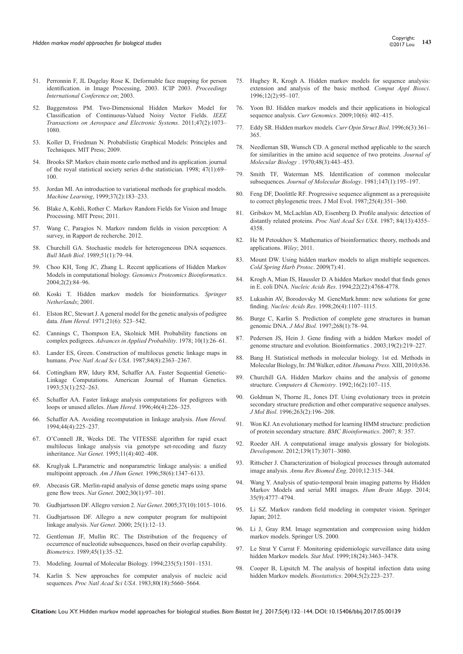- 51. [Perronnin F, JL Dugelay Rose K. Deformable face mapping for person](mailto:http://ieeexplore.ieee.org/abstract/document/1247048/)  [identification. in Image Processing, 2003. ICIP 2003.](mailto:http://ieeexplore.ieee.org/abstract/document/1247048/) *Proceedings [International Conference on](mailto:http://ieeexplore.ieee.org/abstract/document/1247048/)*; 2003.
- 52. [Baggenstoss PM. Two-Dimensional Hidden Markov Model for](mailto:http://ieeexplore.ieee.org/document/5751243/)  [Classification of Continuous-Valued Noisy Vector Fields.](mailto:http://ieeexplore.ieee.org/document/5751243/) *IEEE [Transactions on Aerospace and Electronic Systems](mailto:http://ieeexplore.ieee.org/document/5751243/)*. 2011;47(2):1073– [1080.](mailto:http://ieeexplore.ieee.org/document/5751243/)
- 53. [Koller D, Friedman N. Probabilistic Graphical Models: Principles and](mailto:http://dl.acm.org/citation.cfm?id=1795555)  [Techniques. MIT Press; 2009.](mailto:http://dl.acm.org/citation.cfm?id=1795555)
- 54. [Brooks SP. Markov chain monte carlo method and its application. journal](mailto:http://ecovision.mit.edu/~sai/12S990/mcmctutorial.pdf)  [of the royal statistical society series d-the statistician. 1998; 47\(1\):69–](mailto:http://ecovision.mit.edu/~sai/12S990/mcmctutorial.pdf) [100.](mailto:http://ecovision.mit.edu/~sai/12S990/mcmctutorial.pdf)
- 55. [Jordan MI. An introduction to variational methods for graphical models.](mailto:https://people.eecs.berkeley.edu/~jordan/papers/variational-intro.pdf)  *Machine Learning*[, 1999;37\(2\):183–233.](mailto:https://people.eecs.berkeley.edu/~jordan/papers/variational-intro.pdf)
- 56. [Blake A, Kohli, Rother C. Markov Random Fields for Vision and Image](mailto:http://dl.acm.org/citation.cfm?id=2024611)  [Processing. MIT Press; 2011.](mailto:http://dl.acm.org/citation.cfm?id=2024611)
- 57. Wang C, Paragios N. Markov random fields in vision perception: A survey, in Rapport de recherche. 2012.
- 58. [Churchill GA. Stochastic models for heterogeneous DNA sequences.](mailto:https://www.ncbi.nlm.nih.gov/pubmed/2706403)  *Bull Math Biol*[. 1989;51\(1\):79–94.](mailto:https://www.ncbi.nlm.nih.gov/pubmed/2706403)
- 59. [Choo KH, Tong JC, Zhang L. Recent applications of Hidden Markov](mailto:https://www.ncbi.nlm.nih.gov/pubmed/15629048)  Models in computational biology. *[Genomics Proteomics Bioinformatics](mailto:https://www.ncbi.nlm.nih.gov/pubmed/15629048)*. [2004;2\(2\):84–96.](mailto:https://www.ncbi.nlm.nih.gov/pubmed/15629048)
- 60. Koski T. Hidden markov models for bioinformatics. *Springer Netherlands*; 2001.
- 61. [Elston RC, Stewart J. A general model for the genetic analysis of pedigree](mailto:https://www.ncbi.nlm.nih.gov/pubmed/5149961)  data. *Hum Hered*[. 1971;21\(6\): 523–542.](mailto:https://www.ncbi.nlm.nih.gov/pubmed/5149961)
- 62. [Cannings C, Thompson EA, Skolnick MH. Probability functions on](mailto:https://www.jstor.org/stable/1426718?seq=1%23page_scan_tab_contents)  complex pedigrees. *[Advances in Applied Probability](mailto:https://www.jstor.org/stable/1426718?seq=1%23page_scan_tab_contents)*. 1978; 10(1):26–61.
- 63. [Lander ES, Green. Construction of multilocus genetic linkage maps in](mailto:https://www.ncbi.nlm.nih.gov/pubmed/3470801)  humans. *Proc Natl Acad Sci USA*[. 1987;84\(8\):2363–2367.](mailto:https://www.ncbi.nlm.nih.gov/pubmed/3470801)
- 64. [Cottingham RW, Idury RM, Schaffer AA. Faster Sequential Genetic-](mailto:https://www.ncbi.nlm.nih.gov/pmc/articles/PMC1682239/)[Linkage Computations. American Journal of Human Genetics.](mailto:https://www.ncbi.nlm.nih.gov/pmc/articles/PMC1682239/)  [1993;53\(1\):252–263.](mailto:https://www.ncbi.nlm.nih.gov/pmc/articles/PMC1682239/)
- 65. [Schaffer AA. Faster linkage analysis computations for pedigrees with](mailto:https://www.ncbi.nlm.nih.gov/pubmed/8807326)  [loops or unused alleles.](mailto:https://www.ncbi.nlm.nih.gov/pubmed/8807326) *Hum Hered*. 1996;46(4):226–325.
- 66. [Schaffer AA. Avoiding recomputation in linkage analysis.](mailto:https://www.ncbi.nlm.nih.gov/pubmed/8056435) *Hum Hered*. [1994;44\(4\):225–237.](mailto:https://www.ncbi.nlm.nih.gov/pubmed/8056435)
- 67. [O'Connell JR, Weeks DE. The VITESSE algorithm for rapid exact](mailto:https://www.ncbi.nlm.nih.gov/pubmed/7493020)  [multilocus linkage analysis via genotype set-recoding and fuzzy](mailto:https://www.ncbi.nlm.nih.gov/pubmed/7493020)  inheritance. *Nat Genet.* [1995;11\(4\):402–408.](mailto:https://www.ncbi.nlm.nih.gov/pubmed/7493020)
- 68. [Kruglyak L.Parametric and nonparametric linkage analysis: a unified](mailto:https://www.ncbi.nlm.nih.gov/pubmed/8651312)  multipoint approach. *Am J Hum Genet.* [1996;58\(6\):1347–6133.](mailto:https://www.ncbi.nlm.nih.gov/pubmed/8651312)
- 69. [Abecasis GR. Merlin-rapid analysis of dense genetic maps using sparse](mailto:https://www.ncbi.nlm.nih.gov/pubmed/11731797)  gene flow trees. *Nat Genet*[. 2002;30\(1\):97–101.](mailto:https://www.ncbi.nlm.nih.gov/pubmed/11731797)
- 70. [Gudbjartsson DF. Allegro version 2.](mailto:http://www.nature.com/ng/journal/v37/n10/full/ng1005-1015.html) *Nat Genet*. 2005;37(10):1015–1016.
- 71. [Gudbjartsson DF. Allegro a new computer program for multipoint](mailto:https://www.ncbi.nlm.nih.gov/pubmed/10802644)  linkage analysis. *Nat Genet*[. 2000; 25\(1\):12–13.](mailto:https://www.ncbi.nlm.nih.gov/pubmed/10802644)
- 72. [Gentleman JF, Mullin RC. The Distribution of the frequency of](mailto:https://www.ncbi.nlm.nih.gov/pubmed/2720059)  [occurrence of nucleotide subsequences, based on their overlap capability.](mailto:https://www.ncbi.nlm.nih.gov/pubmed/2720059) *Biometrics*[. 1989;45\(1\):35–52.](mailto:https://www.ncbi.nlm.nih.gov/pubmed/2720059)
- 73. Modeling. Journal of Molecular Biology. 1994;235(5):1501–1531.
- 74. [Karlin S. New approaches for computer analysis of nucleic acid](mailto:https://www.ncbi.nlm.nih.gov/pmc/articles/PMC384318/)  sequences. *Proc Natl Acad Sci USA*[. 1983;80\(18\):5660–5664.](mailto:https://www.ncbi.nlm.nih.gov/pmc/articles/PMC384318/)
- 75. [Hughey R, Krogh A. Hidden markov models for sequence analysis:](mailto:https://academic.oup.com/bioinformatics/article/12/2/95/257274/Hidden-Markov-models-for-sequence-analysis)  [extension and analysis of the basic method.](mailto:https://academic.oup.com/bioinformatics/article/12/2/95/257274/Hidden-Markov-models-for-sequence-analysis) *Comput Appl Biosci*. [1996;12\(2\):95–107.](mailto:https://academic.oup.com/bioinformatics/article/12/2/95/257274/Hidden-Markov-models-for-sequence-analysis)
- 76. [Yoon BJ. Hidden markov models and their applications in biological](mailto:https://www.ncbi.nlm.nih.gov/pubmed/20190955/)  sequence analysis. *Curr Genomics*[. 2009;10\(6\): 402–415.](mailto:https://www.ncbi.nlm.nih.gov/pubmed/20190955/)
- 77. Eddy SR. Hidden markov models*. Curr Opin Struct Biol*. 1996;6(3):361– 365.
- 78. [Needleman SB, Wunsch CD. A general method applicable to the search](mailto:https://www.ncbi.nlm.nih.gov/pubmed/5420325)  [for similarities in the amino acid sequence of two proteins.](mailto:https://www.ncbi.nlm.nih.gov/pubmed/5420325) *Journal of Molecular Biology* [. 1970;48\(3\):443–453.](mailto:https://www.ncbi.nlm.nih.gov/pubmed/5420325)
- 79. [Smith TF, Waterman MS. Identification of common molecular](mailto:https://www.ncbi.nlm.nih.gov/pubmed/7265238)  subsequences. *[Journal of Molecular Biology](mailto:https://www.ncbi.nlm.nih.gov/pubmed/7265238)*. 1981;147(1):195–197.
- 80. [Feng DF, Doolittle RF. Progressive sequence alignment as a prerequisite](mailto:https://www.ncbi.nlm.nih.gov/pubmed/3118049)  [to correct phylogenetic trees. J Mol Evol. 1987;25\(4\):351–360.](mailto:https://www.ncbi.nlm.nih.gov/pubmed/3118049)
- 81. [Gribskov M, McLachlan AD, Eisenberg D. Profile analysis: detection of](mailto:https://www.ncbi.nlm.nih.gov/pubmed/3474607)  [distantly related proteins.](mailto:https://www.ncbi.nlm.nih.gov/pubmed/3474607) *Proc Natl Acad Sci USA*. 1987; 84(13):4355– [4358.](mailto:https://www.ncbi.nlm.nih.gov/pubmed/3474607)
- 82. [He M Petoukhov S. Mathematics of bioinformatics: theory, methods and](mailto:http://dl.acm.org/citation.cfm?id=1984876)  [applications.](mailto:http://dl.acm.org/citation.cfm?id=1984876) *Wiley*; 2011.
- 83. [Mount DW. Using hidden markov models to align multiple sequences.](mailto:https://www.ncbi.nlm.nih.gov/pubmed/20147223)  *[Cold Spring Harb Protoc](mailto:https://www.ncbi.nlm.nih.gov/pubmed/20147223)*. 2009(7):41.
- 84. [Krogh A, Mian IS, Haussler D. A hidden Markov model that finds genes](mailto:https://www.ncbi.nlm.nih.gov/pubmed/7984429/)  in E. coli DNA. *Nucleic Acids Res*[. 1994;22\(22\):4768-4778.](mailto:https://www.ncbi.nlm.nih.gov/pubmed/7984429/)
- 85. [Lukashin AV, Borodovsky M. GeneMark.hmm: new solutions for gene](mailto:https://www.ncbi.nlm.nih.gov/pubmed/9461475)  finding. *Nucleic Acids Res*[. 1998;26\(4\):1107–1115.](mailto:https://www.ncbi.nlm.nih.gov/pubmed/9461475)
- 86. [Burge C, Karlin S. Prediction of complete gene structures in human](mailto:https://www.ncbi.nlm.nih.gov/pubmed/9149143)  genomic DNA. *J Mol Biol.* [1997;268\(1\):78–94.](mailto:https://www.ncbi.nlm.nih.gov/pubmed/9149143)
- 87. [Pedersen JS, Hein J. Gene finding with a hidden Markov model of](mailto:https://www.ncbi.nlm.nih.gov/pubmed/12538242)  [genome structure and evolution. Bioinformatics . 2003;19\(2\):219–227.](mailto:https://www.ncbi.nlm.nih.gov/pubmed/12538242)
- 88. Bang H. Statistical methods in molecular biology. 1st ed. Methods in Molecular Biology, In: JM Walker, editor. *Humana Press*. XIII, 2010;636.
- 89. Churchill GA. Hidden Markov chains and the analysis of genome structure. *Computers & Chemistry*. 1992;16(2):107–115.
- 90. [Goldman N, Thorne JL, Jones DT. Using evolutionary trees in protein](mailto:https://www.ncbi.nlm.nih.gov/pubmed/8913301)  [secondary structure prediction and other comparative sequence analyses.](mailto:https://www.ncbi.nlm.nih.gov/pubmed/8913301)  *J Mol Biol*[. 1996;263\(2\):196–208.](mailto:https://www.ncbi.nlm.nih.gov/pubmed/8913301)
- 91. [Won KJ. An evolutionary method for learning HMM structure: prediction](mailto:https://www.ncbi.nlm.nih.gov/pubmed/17888163)  [of protein secondary structure.](mailto:https://www.ncbi.nlm.nih.gov/pubmed/17888163) *BMC Bioinformatics*. 2007; 8: 357.
- 92. [Roeder AH. A computational image analysis glossary for biologists.](mailto:https://www.ncbi.nlm.nih.gov/pubmed/22872081)  *Development*[. 2012;139\(17\):3071–3080.](mailto:https://www.ncbi.nlm.nih.gov/pubmed/22872081)
- 93. [Rittscher J. Characterization of biological processes through automated](mailto:https://www.ncbi.nlm.nih.gov/pubmed/20482277)  image analysis. *[Annu Rev Biomed Eng](mailto:https://www.ncbi.nlm.nih.gov/pubmed/20482277)*. 2010;12:315–344.
- 94. [Wang Y. Analysis of spatio-temporal brain imaging patterns by Hidden](mailto:http://onlinelibrary.wiley.com/doi/10.1002/hbm.22511/abstract)  [Markov Models and serial MRI images.](mailto:http://onlinelibrary.wiley.com/doi/10.1002/hbm.22511/abstract) *Hum Brain Mapp*. 2014; [35\(9\):4777–4794.](mailto:http://onlinelibrary.wiley.com/doi/10.1002/hbm.22511/abstract)
- 95. Li SZ. Markov random field modeling in computer vision. Springer Japan; 2012.
- 96. Li J, Gray RM. Image segmentation and compression using hidden markov models. Springer US. 2000.
- 97. [Le Strat Y Carrat F. Monitoring epidemiologic surveillance data using](mailto:https://www.ncbi.nlm.nih.gov/pubmed/10611619)  hidden Markov models. *Stat Med*[. 1999;18\(24\):3463–3478.](mailto:https://www.ncbi.nlm.nih.gov/pubmed/10611619)
- 98. [Cooper B, Lipsitch M. The analysis of hospital infection data using](mailto:https://www.ncbi.nlm.nih.gov/pubmed/15054027)  [hidden Markov models.](mailto:https://www.ncbi.nlm.nih.gov/pubmed/15054027) *Biostatistics*. 2004;5(2):223–237.